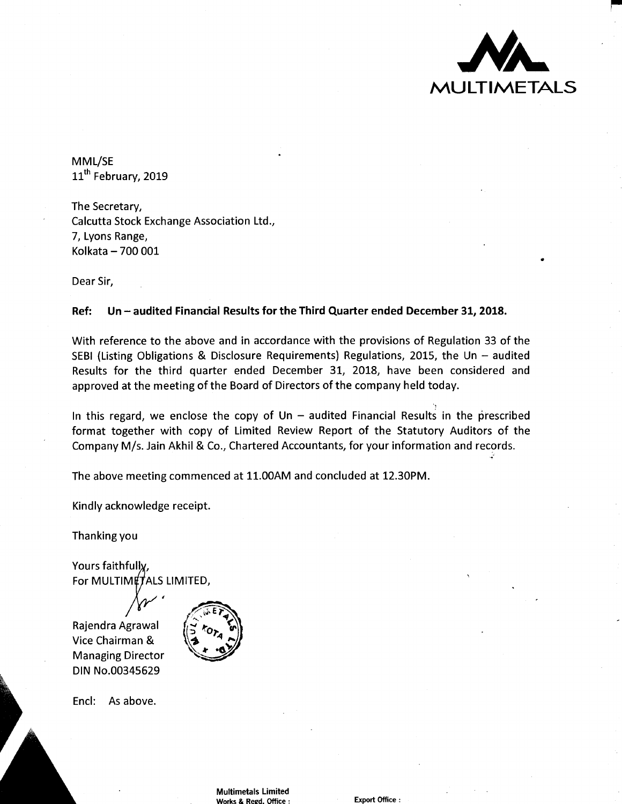

..

MML/SE 11<sup>th</sup> February, 2019

The Secretary, Calcutta Stock Exchange Association Ltd., 7, Lyons Range, Kolkata - 700 001

Dear Sir,

#### **Ref: Un-audited Financial Results for the Third Quarter ended December 31, 2018.**

With reference to the above and in accordance with the provisions of Regulation 33 of the SEBI (Listing Obligations & Disclosure Requirements) Regulations, 2015, the Un  $-$  audited Results for the third quarter ended December 31, 2018, have been considered and approved at the meeting of the Board of Directors of the company held today.

In this regard, we enclose the copy of Un  $-$  audited Financial Results in the prescribed format together with copy of Limited Review Report of the Statutory Auditors of the Company M/s. Jain Akhil & Co., Chartered Accountants, for your information and records.

The above meeting commenced at 11.00AM and concluded at 12.30PM.

Kindly acknowledge receipt.

Thanking you

Yours faithfully, For MULTIMETALS LIMITED,

Rajendra Agrawal Vice Chairman & Managing Director DIN No.00345629



Encl: As above.

Multimetals Limited Works & Regd. Office : Export Office :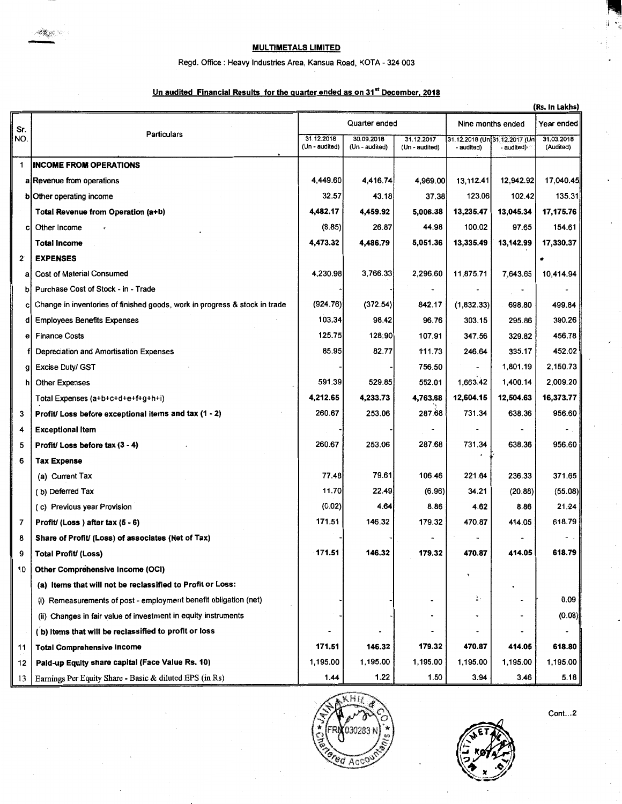# MULTIMETALS LIMITED

#### Regd. Office: Heavy Industries Area, Kansua Road, KOTA- 324 003

### Un audited Financial Results for the quarter ended as on 31<sup>st</sup> December, 2018

| (Rs. In Lakhs)       |                                                                            |                              |                              |                              |                                             |            |                         |
|----------------------|----------------------------------------------------------------------------|------------------------------|------------------------------|------------------------------|---------------------------------------------|------------|-------------------------|
| Sr.                  | <b>Particulars</b>                                                         | Quarter ended                |                              |                              | Nine months ended                           |            | Year ended              |
| NO.                  |                                                                            | 31.12.2018<br>(Un - audited) | 30.09.2018<br>(Un - audited) | 31.12.2017<br>(Un - audited) | 31.12.2018 (Un[31.12.2017 (Un<br>- audited) | - audited) | 31.03.2018<br>(Audited) |
| 1.                   | <b>INCOME FROM OPERATIONS</b>                                              |                              |                              |                              |                                             |            |                         |
|                      | a Revenue from operations                                                  | 4,449.60                     | 4,416.74                     | 4,969.00                     | 13,112.41                                   | 12,942.92  | 17,040.45               |
|                      | b Other operating income                                                   | 32.57                        | 43.18                        | 37.38                        | 123.06                                      | 102.42     | 135.31                  |
|                      | Total Revenue from Operation (a+b)                                         | 4,482.17                     | 4,459.92                     | 5,006.38                     | 13,235.47                                   | 13,045.34  | 17,175.76               |
| c                    | Other Income                                                               | (8.85)                       | 26.87                        | 44.98                        | 100.02                                      | 97.65      | 154.61                  |
|                      | <b>Total Income</b>                                                        | 4,473.32                     | 4,486.79                     | 5,051.36                     | 13,335.49                                   | 13,142.99  | 17,330.37               |
| $\mathbf{2}^{\circ}$ | <b>EXPENSES</b>                                                            |                              |                              |                              |                                             |            |                         |
| a                    | <b>Cost of Material Consumed</b>                                           | 4,230.98                     | 3,766.33                     | 2,296.60                     | 11,875.71                                   | 7,643.65   | 10,414.94               |
|                      | Purchase Cost of Stock - in - Trade                                        |                              |                              |                              |                                             |            |                         |
| c                    | Change in inventories of finished goods, work in progress & stock in trade | (924.76)                     | (372.54)                     | 842.17                       | (1,832.33)                                  | 698.80     | 499.84                  |
|                      | <b>Employees Benefits Expenses</b>                                         | 103.34                       | 98.42                        | 96.76                        | 303.15                                      | 295.86     | 390.26                  |
| е                    | <b>Finance Costs</b>                                                       | 125.75                       | 128.90                       | 107.91                       | 347.56                                      | 329.82     | 456.78                  |
|                      | Depreciation and Amortisation Expenses                                     | 85.95                        | 82.77                        | 111.73                       | 246.64                                      | 335.17     | 452.02                  |
| g                    | <b>Excise Duty/ GST</b>                                                    |                              |                              | 756.50                       |                                             | 1,801.19   | 2,150.73                |
|                      | <b>Other Expenses</b>                                                      | 591.39                       | 529.85                       | 552.01                       | 1,663.42                                    | 1,400.14   | 2,009.20                |
|                      | Total Expenses (a+b+c+d+e+f+g+h+i)                                         | 4,212.65                     | 4,233.73                     | 4,763.68                     | 12,604.15                                   | 12,504.63  | 16,373.77               |
| 3                    | Profit/ Loss before exceptional items and tax (1 - 2)                      | 260.67                       | 253.06                       | 287.68                       | 731.34                                      | 638.36     | 956.60                  |
| 4                    | <b>Exceptional Item</b>                                                    |                              |                              |                              |                                             |            |                         |
| 5                    | Profit/ Loss before tax (3 - 4)                                            | 260.67                       | 253.06                       | 287.68                       | 731.34                                      | 638.36     | 956.60                  |
| 6                    | <b>Tax Expense</b>                                                         |                              |                              |                              |                                             |            |                         |
|                      | (a) Current Tax                                                            | 77.48                        | 79.61                        | 106.46                       | 221.64                                      | 236.33     | 371.65                  |
|                      | (b) Deferred Tax                                                           | 11.70                        | 22.49                        | (6.96)                       | 34.21                                       | (20.88)    | (55.08)                 |
|                      | (c) Previous year Provision                                                | (0.02)                       | 4.64                         | 8.86                         | 4.62                                        | 8.86       | 21.24                   |
| 7                    | Profit/ (Loss) after tax $(5 - 6)$                                         | 171.51                       | 146.32                       | 179.32                       | 470.87                                      | 414.05     | 618.79                  |
| 8                    | Share of Profit/ (Loss) of associates (Net of Tax)                         |                              |                              |                              |                                             |            |                         |
| 9                    | Total Profit/ (Loss)                                                       | 171.51                       | 146.32                       | 179.32                       | 470.87                                      | 414.05     | 618.79                  |
| 10                   | <b>Other Comprehensive Income (OCI)</b>                                    |                              |                              |                              |                                             |            |                         |
|                      | (a) Items that will not be reclassified to Profit or Loss:                 |                              |                              |                              |                                             |            |                         |
|                      | (i) Remeasurements of post - employment benefit obligation (net)           |                              |                              |                              | ÷.                                          |            | 0.09                    |
|                      | (ii) Changes in fair value of investment in equity instruments             |                              |                              |                              |                                             |            | (0.08)                  |
|                      | (b) Items that will be reclassified to profit or loss                      |                              |                              |                              |                                             |            |                         |
| 11                   | <b>Total Comprehensive Income</b>                                          | 171.51                       | 146.32                       | 179.32                       | 470.87                                      | 414.05     | 618.80                  |
| 12                   | Paid-up Equity share capital (Face Value Rs. 10)                           | 1,195.00                     | 1,195.00                     | 1,195.00                     | 1,195.00                                    | 1,195.00   | 1,195.00                |
| 13                   | Earnings Per Equity Share - Basic & diluted EPS (in Rs)                    | 1.44                         | 1.22                         | 1.50                         | 3.94                                        | 3.46       | 5.18                    |



Cont...2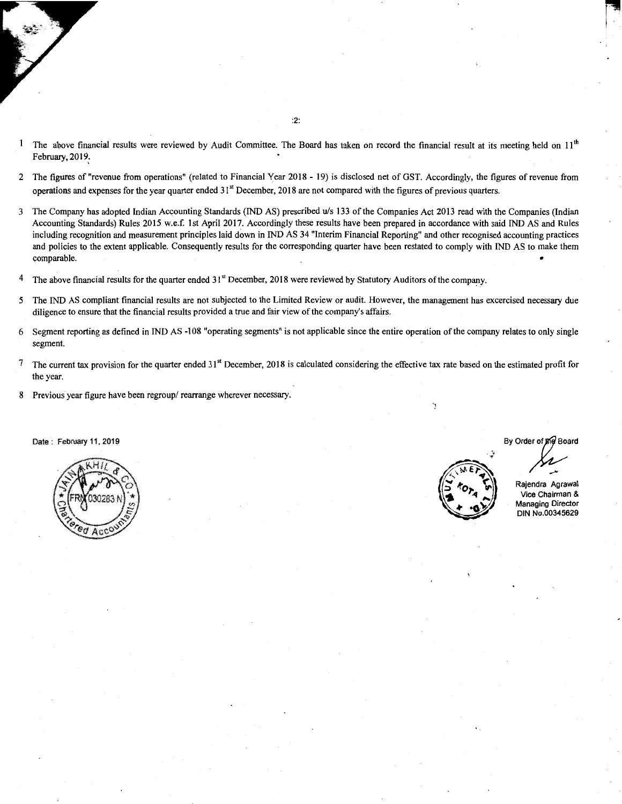- <sup>1</sup> The above financial results were reviewed by Audit Committee. The Board has taken on record the financial result at its meeting held on  $11<sup>th</sup>$ February, 2019:
- 2 The figures of "revenue from operations" (related to Financial Year 2018 19) is disclosed net of GST. Accordingly, the figures of revenue from operations and expenses for the year quarter ended 31'1 December, 2018 are not compared with the figures of previous quarters.
- 3 The Company has adopted Indian Accounting Standards (IND AS) prescribed u!s 133 of the Companies Act 2013 read with the Companies (Indian Accounting Standards) Rules 2015 w.e.f. 1st April 2017. Accordingly these results have been prepared in accordance with said IND AS and Rules including recognition and measurement principles laid down in IND AS 34 "Interim Financial Reporting" and other recognised accounting practices and policies to the extent applicable. Consequently results for the correspohding quarter have been restated to comply with IND AS to make them comparable.  $\bullet$
- <sup>4</sup> The above financial results for the quarter ended  $31<sup>st</sup>$  December, 2018 were reviewed by Statutory Auditors of the company.
- *5* The IND AS compliant financial results are not subjected to the Limited Review or audit. However, the management has excercised necessary due diligence to ensure that the financial results provided a true and fair view of the company's affairs.
- 6 Segment reporting as defined in IND AS -108 "operating segments" is not applicable since the entire operation of the company relates to only single segment.
- $7$  The current tax provision for the quarter ended  $31<sup>st</sup>$  December, 2018 is calculated considering the effective tax rate based on the estimated profit for the year.
- 8 Previous year figure have been regroup/ rearrange wherever necessary.

Date : February 11, 2019





By Order of the Board  $\sqrt{2}$ 

Rajendra Agrawal Vice Chairman & Managing Director DIN No.00345629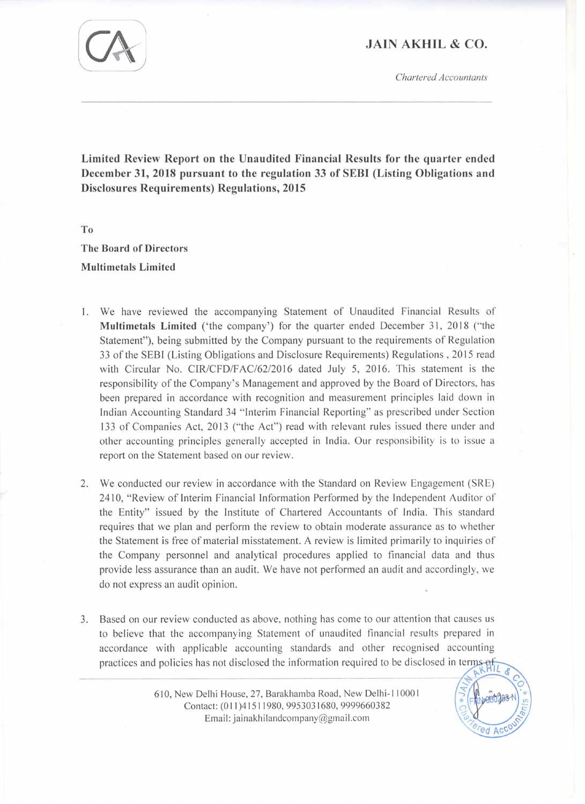## **JAIN AKHIL & CO.**

Chartered Accountants

Á



 $To$ 

**The Board of Directors Multimetals Limited** 

- We have reviewed the accompanying Statement of Unaudited Financial Results of  $1<sup>2</sup>$ Multimetals Limited ('the company') for the quarter ended December 31, 2018 ("the Statement"), being submitted by the Company pursuant to the requirements of Regulation 33 of the SEBI (Listing Obligations and Disclosure Requirements) Regulations, 2015 read with Circular No. CIR/CFD/FAC/62/2016 dated July 5, 2016. This statement is the responsibility of the Company's Management and approved by the Board of Directors, has been prepared in accordance with recognition and measurement principles laid down in Indian Accounting Standard 34 "Interim Financial Reporting" as prescribed under Section 133 of Companies Act, 2013 ("the Act") read with relevant rules issued there under and other accounting principles generally accepted in India. Our responsibility is to issue a report on the Statement based on our review.
- 2. We conducted our review in accordance with the Standard on Review Engagement (SRE) 2410, "Review of Interim Financial Information Performed by the Independent Auditor of the Entity" issued by the Institute of Chartered Accountants of India. This standard requires that we plan and perform the review to obtain moderate assurance as to whether the Statement is free of material misstatement. A review is limited primarily to inquiries of the Company personnel and analytical procedures applied to financial data and thus provide less assurance than an audit. We have not performed an audit and accordingly, we do not express an audit opinion.
- 3. Based on our review conducted as above, nothing has come to our attention that causes us to believe that the accompanying Statement of unaudited financial results prepared in accordance with applicable accounting standards and other recognised accounting practices and policies has not disclosed the information required to be disclosed in terms of

610, New Delhi House, 27, Barakhamba Road, New Delhi-110001 Contact: (011)41511980, 9953031680, 9999660382 Email: jainakhilandcompany@gmail.com